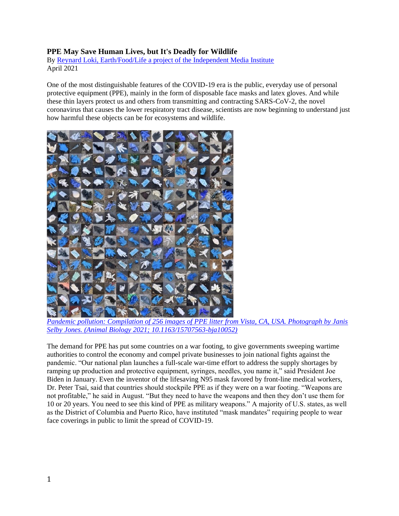## **PPE May Save Human Lives, but It's Deadly for Wildlife**

By [Reynard Loki, Earth/Food/Life a project of the Independent Media Institute](https://independentmediainstitute.org/earth-food-life/) April 2021

One of the most distinguishable features of the COVID-19 era is the public, everyday use of personal protective equipment (PPE), mainly in the form of disposable face masks and latex gloves. And while these thin layers protect us and others from transmitting and contracting SARS-CoV-2, the novel coronavirus that causes the lower respiratory tract disease, scientists are now beginning to understand just how harmful these objects can be for ecosystems and wildlife.



*[Pandemic pollution: Compilation of 256 images of PPE litter from Vista, CA, USA. Photograph by Janis](https://brill.com/view/journals/ab/aop/article-10.1163-15707563-bja10052/article-10.1163-15707563-bja10052.xml)  [Selby Jones. \(Animal Biology 2021; 10.1163/15707563-bja10052\)](https://brill.com/view/journals/ab/aop/article-10.1163-15707563-bja10052/article-10.1163-15707563-bja10052.xml)*

The demand for PPE has put some countries on a war footing, to give governments sweeping wartime authorities to control the economy and compel private businesses to join national fights against the pandemic. "Our national plan launches a full-scale war-time effort to address the supply shortages by ramping up production and protective equipment, syringes, needles, you name it," said President Joe Biden in January. Even the inventor of the lifesaving N95 mask favored by front-line medical workers, Dr. Peter Tsai, said that countries should stockpile PPE as if they were on a war footing. "Weapons are not profitable," he said in August. "But they need to have the weapons and then they don't use them for 10 or 20 years. You need to see this kind of PPE as military weapons." A majority of U.S. states, as well as the District of Columbia and Puerto Rico, have instituted "mask mandates" requiring people to wear face coverings in public to limit the spread of COVID-19.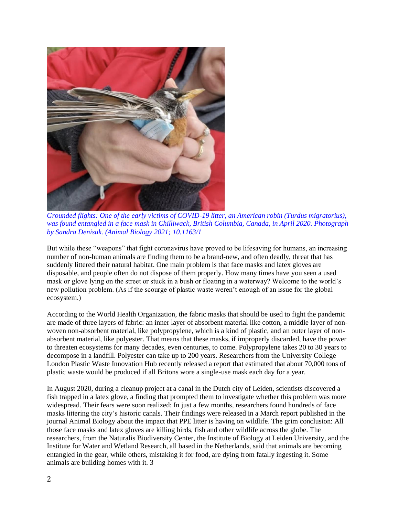

*[Grounded flights: One of the early victims of COVID-19 litter, an American robin \(Turdus migratorius\),](https://doi.org/10.1163/15707563-bja10052)  [was found entangled in a face mask in Chilliwack, British Columbia, Canada, in April 2020. Photograph](https://doi.org/10.1163/15707563-bja10052)  [by Sandra Denisuk. \(Animal Biology 2021; 10.1163/1](https://doi.org/10.1163/15707563-bja10052)*

But while these "weapons" that fight coronavirus have proved to be lifesaving for humans, an increasing number of non-human animals are finding them to be a brand-new, and often deadly, threat that has suddenly littered their natural habitat. One main problem is that face masks and latex gloves are disposable, and people often do not dispose of them properly. How many times have you seen a used mask or glove lying on the street or stuck in a bush or floating in a waterway? Welcome to the world's new pollution problem. (As if the scourge of plastic waste weren't enough of an issue for the global ecosystem.)

According to the World Health Organization, the fabric masks that should be used to fight the pandemic are made of three layers of fabric: an inner layer of absorbent material like cotton, a middle layer of nonwoven non-absorbent material, like polypropylene, which is a kind of plastic, and an outer layer of nonabsorbent material, like polyester. That means that these masks, if improperly discarded, have the power to threaten ecosystems for many decades, even centuries, to come. Polypropylene takes 20 to 30 years to decompose in a landfill. Polyester can take up to 200 years. Researchers from the University College London Plastic Waste Innovation Hub recently released a report that estimated that about 70,000 tons of plastic waste would be produced if all Britons wore a single-use mask each day for a year.

In August 2020, during a cleanup project at a canal in the Dutch city of Leiden, scientists discovered a fish trapped in a latex glove, a finding that prompted them to investigate whether this problem was more widespread. Their fears were soon realized: In just a few months, researchers found hundreds of face masks littering the city's historic canals. Their findings were released in a March report published in the journal Animal Biology about the impact that PPE litter is having on wildlife. The grim conclusion: All those face masks and latex gloves are killing birds, fish and other wildlife across the globe. The researchers, from the Naturalis Biodiversity Center, the Institute of Biology at Leiden University, and the Institute for Water and Wetland Research, all based in the Netherlands, said that animals are becoming entangled in the gear, while others, mistaking it for food, are dying from fatally ingesting it. Some animals are building homes with it. 3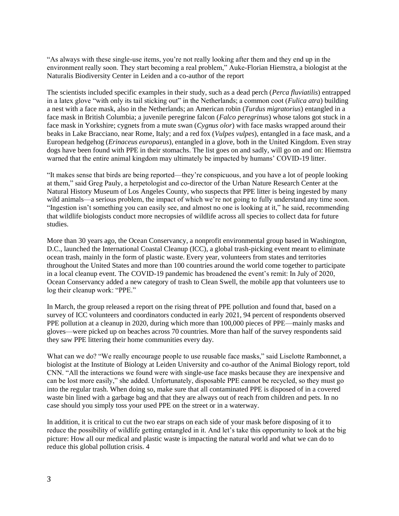"As always with these single-use items, you're not really looking after them and they end up in the environment really soon. They start becoming a real problem," Auke-Florian Hiemstra, a biologist at the Naturalis Biodiversity Center in Leiden and a co-author of the report

The scientists included specific examples in their study, such as a dead perch (*Perca fluviatilis*) entrapped in a latex glove "with only its tail sticking out" in the Netherlands; a common coot (*Fulica atra*) building a nest with a face mask, also in the Netherlands; an American robin (*Turdus migratorius*) entangled in a face mask in British Columbia; a juvenile peregrine falcon (*Falco peregrinus*) whose talons got stuck in a face mask in Yorkshire; cygnets from a mute swan (*Cygnus olor*) with face masks wrapped around their beaks in Lake Bracciano, near Rome, Italy; and a red fox (*Vulpes vulpes*), entangled in a face mask, and a European hedgehog (*Erinaceus europaeus*), entangled in a glove, both in the United Kingdom. Even stray dogs have been found with PPE in their stomachs. The list goes on and sadly, will go on and on: Hiemstra warned that the entire animal kingdom may ultimately be impacted by humans' COVID-19 litter.

"It makes sense that birds are being reported—they're conspicuous, and you have a lot of people looking at them," said Greg Pauly, a herpetologist and co-director of the Urban Nature Research Center at the Natural History Museum of Los Angeles County, who suspects that PPE litter is being ingested by many wild animals—a serious problem, the impact of which we're not going to fully understand any time soon. "Ingestion isn't something you can easily see, and almost no one is looking at it," he said, recommending that wildlife biologists conduct more necropsies of wildlife across all species to collect data for future studies.

More than 30 years ago, the Ocean Conservancy, a nonprofit environmental group based in Washington, D.C., launched the International Coastal Cleanup (ICC), a global trash-picking event meant to eliminate ocean trash, mainly in the form of plastic waste. Every year, volunteers from states and territories throughout the United States and more than 100 countries around the world come together to participate in a local cleanup event. The COVID-19 pandemic has broadened the event's remit: In July of 2020, Ocean Conservancy added a new category of trash to Clean Swell, the mobile app that volunteers use to log their cleanup work: "PPE."

In March, the group released a report on the rising threat of PPE pollution and found that, based on a survey of ICC volunteers and coordinators conducted in early 2021, 94 percent of respondents observed PPE pollution at a cleanup in 2020, during which more than 100,000 pieces of PPE—mainly masks and gloves—were picked up on beaches across 70 countries. More than half of the survey respondents said they saw PPE littering their home communities every day.

What can we do? "We really encourage people to use reusable face masks," said Liselotte Rambonnet, a biologist at the Institute of Biology at Leiden University and co-author of the Animal Biology report, told CNN. "All the interactions we found were with single-use face masks because they are inexpensive and can be lost more easily," she added. Unfortunately, disposable PPE cannot be recycled, so they must go into the regular trash. When doing so, make sure that all contaminated PPE is disposed of in a covered waste bin lined with a garbage bag and that they are always out of reach from children and pets. In no case should you simply toss your used PPE on the street or in a waterway.

In addition, it is critical to cut the two ear straps on each side of your mask before disposing of it to reduce the possibility of wildlife getting entangled in it. And let's take this opportunity to look at the big picture: How all our medical and plastic waste is impacting the natural world and what we can do to reduce this global pollution crisis. 4